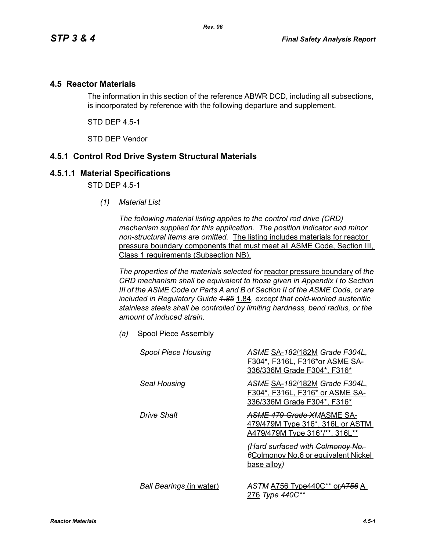### **4.5 Reactor Materials**

The information in this section of the reference ABWR DCD, including all subsections, is incorporated by reference with the following departure and supplement.

STD DEP 4.5-1

STD DEP Vendor

## **4.5.1 Control Rod Drive System Structural Materials**

#### **4.5.1.1 Material Specifications**

STD DFP 45-1

*(1) Material List*

*The following material listing applies to the control rod drive (CRD) mechanism supplied for this application. The position indicator and minor non-structural items are omitted.* The listing includes materials for reactor pressure boundary components that must meet all ASME Code, Section III, Class 1 requirements (Subsection NB).

*The properties of the materials selected for* reactor pressure boundary of *the CRD mechanism shall be equivalent to those given in Appendix I to Section III of the ASME Code or Parts A and B of Section II of the ASME Code, or are included in Regulatory Guide 1.85* 1.84*, except that cold-worked austenitic stainless steels shall be controlled by limiting hardness, bend radius, or the amount of induced strain.*

*(a)* Spool Piece Assembly

| <b>Spool Piece Housing</b>      | ASME SA-182/182M Grade F304L,<br>F304*, F316L, F316*or ASME SA-<br>336/336M Grade F304*, F316*  |
|---------------------------------|-------------------------------------------------------------------------------------------------|
| Seal Housing                    | ASME SA-182/182M Grade F304L,<br>F304*, F316L, F316* or ASME SA-<br>336/336M Grade F304*, F316* |
| Drive Shaft                     | ASME 479 Grade XMASME SA-<br>479/479M Type 316*, 316L or ASTM<br>A479/479M Type 316*/**, 316L** |
|                                 | (Hard surfaced with Colmonoy No.<br><b>6Colmonoy No.6 or equivalent Nickel</b><br>base alloy)   |
| <b>Ball Bearings (in water)</b> | ASTM A756 Type440C** or A756 A<br>276 Type 440C**                                               |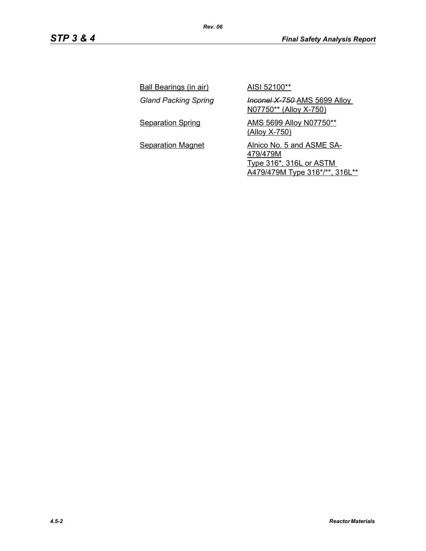| <b>Ball Bearings (in air)</b> | AISI 52100**                                                                                       |
|-------------------------------|----------------------------------------------------------------------------------------------------|
| <b>Gland Packing Spring</b>   | <b>Inconel X 750-AMS 5699 Alloy</b><br>N07750** (Alloy X-750)                                      |
| <b>Separation Spring</b>      | <b>AMS 5699 Alloy N07750**</b><br>(Alloy X-750)                                                    |
| <b>Separation Magnet</b>      | Alnico No. 5 and ASME SA-<br>479/479M<br>Type 316*, 316L or ASTM<br>A479/479M Type 316*/**, 316L** |

*4.5-2 Reactor Materials*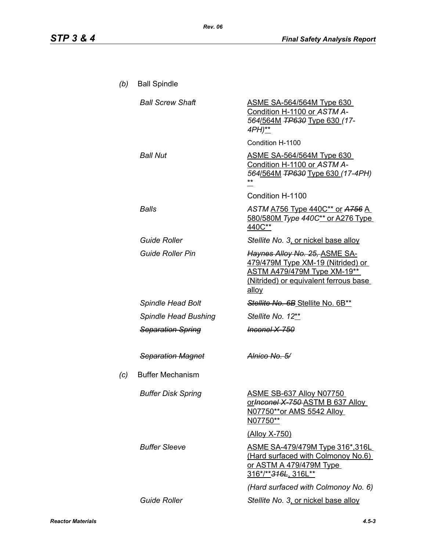| (b) | <b>Ball Spindle</b>       |                                                                                                                                                     |
|-----|---------------------------|-----------------------------------------------------------------------------------------------------------------------------------------------------|
|     | <b>Ball Screw Shaft</b>   | <b>ASME SA-564/564M Type 630</b><br>Condition H-1100 or ASTM A-<br>564/564M TP630 Type 630 (17-<br>4PH)**                                           |
|     |                           | Condition H-1100                                                                                                                                    |
|     | <b>Ball Nut</b>           | <b>ASME SA-564/564M Type 630</b><br>Condition H-1100 or ASTM A-<br>564/564M <del>TP630</del> Type 630 (17-4PH)<br>Condition H-1100                  |
|     | <b>Balls</b>              | ASTM A756 Type 440C** or A756 A<br>580/580M Type 440C** or A276 Type<br>440C**                                                                      |
|     | <b>Guide Roller</b>       | Stellite No. 3, or nickel base alloy                                                                                                                |
|     | <b>Guide Roller Pin</b>   | Haynes Alloy No. 25, ASME SA-<br>479/479M Type XM-19 (Nitrided) or<br>ASTM A479/479M Type XM-19**<br>(Nitrided) or equivalent ferrous base<br>alloy |
|     | Spindle Head Bolt         | Stellite No. 6B Stellite No. 6B**                                                                                                                   |
|     | Spindle Head Bushing      | Stellite No. 12**                                                                                                                                   |
|     | <b>Separation Spring</b>  | <del>Inconel X-750</del>                                                                                                                            |
|     | <b>Separation Magnet</b>  | Alnico No. 5/                                                                                                                                       |
| (c) | <b>Buffer Mechanism</b>   |                                                                                                                                                     |
|     | <b>Buffer Disk Spring</b> | ASME SB-637 Alloy N07750<br>or Inconel X 750 ASTM B 637 Alloy<br>N07750**or AMS 5542 Alloy<br>N07750**                                              |
|     |                           | (Alloy X-750)                                                                                                                                       |
|     | <b>Buffer Sleeve</b>      | <u>ASME SA-479/479M Type 316*,316L_</u><br>(Hard surfaced with Colmonoy No.6)<br><u>or ASTM A 479/479M Type</u><br>316*/** <del>316L</del> , 316L** |
|     |                           | (Hard surfaced with Colmonoy No. 6)                                                                                                                 |
|     | <b>Guide Roller</b>       | Stellite No. 3, or nickel base alloy                                                                                                                |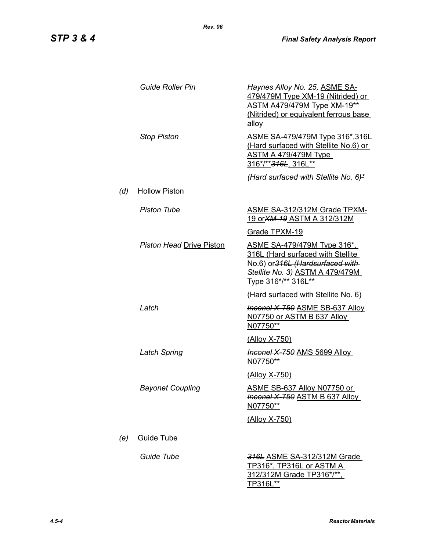|     | <b>Guide Roller Pin</b>         | Haynes Alloy No. 25, ASME SA-<br>479/479M Type XM-19 (Nitrided) or<br><b>ASTM A479/479M Type XM-19**</b><br>(Nitrided) or equivalent ferrous base<br>allov      |
|-----|---------------------------------|-----------------------------------------------------------------------------------------------------------------------------------------------------------------|
|     | <b>Stop Piston</b>              | <u>ASME SA-479/479M Type 316*,316L</u><br>(Hard surfaced with Stellite No.6) or<br>ASTM A 479/479M Type<br>316*/** 316L, 316L**                                 |
|     |                                 | (Hard surfaced with Stellite No. 6)*                                                                                                                            |
| (d) | <b>Hollow Piston</b>            |                                                                                                                                                                 |
|     | <b>Piston Tube</b>              | <b>ASME SA-312/312M Grade TPXM-</b><br>19 or XM-19 ASTM A 312/312M                                                                                              |
|     |                                 | Grade TPXM-19                                                                                                                                                   |
|     | <b>Piston Head Drive Piston</b> | ASME SA-479/479M Type 316*,<br>316L (Hard surfaced with Stellite<br>No.6) or 316L (Hardsurfaced with-<br>Stellite No. 3) ASTM A 479/479M<br>Type 316*/** 316L** |
|     |                                 | (Hard surfaced with Stellite No. 6)                                                                                                                             |
|     | Latch                           | <b>Inconel X 750 ASME SB-637 Alloy</b><br>N07750 or ASTM B 637 Alloy<br>N07750**                                                                                |
|     |                                 | <u>(Alloy X-750)</u>                                                                                                                                            |
|     | <b>Latch Spring</b>             | <b>Inconel X-750 AMS 5699 Alloy</b><br>N07750**                                                                                                                 |
|     |                                 | <u>(Alloy X-750)</u>                                                                                                                                            |
|     | <b>Bayonet Coupling</b>         | <u>ASME SB-637 Alloy N07750 or</u><br>Inconel X-750 ASTM B 637 Alloy<br><u>N07750**</u>                                                                         |
|     |                                 | <u>(Alloy X-750)</u>                                                                                                                                            |
| (e) | Guide Tube                      |                                                                                                                                                                 |
|     | Guide Tube                      | 316L ASME SA-312/312M Grade<br><u>TP316*, TP316L or ASTM A</u><br>312/312M Grade TP316*/**,<br>TP316L**                                                         |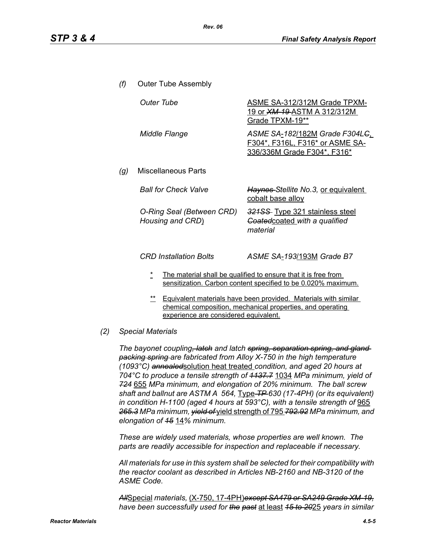- *(f)* Outer Tube Assembly *(g)* Miscellaneous Parts **Outer Tube ASME SA-312/312M Grade TPXM-**19 or *XM-19* ASTM A 312/312M Grade TPXM-19\*\* *Middle Flange ASME SA*-*182*/182M *Grade F304LC*, F304\*, F316L, F316\* or ASME SA-336/336M Grade F304\*, F316\* *Ball for Check Valve Haynes Stellite No.3,* or equivalent cobalt base alloy *O-Ring Seal (Between CRD) Housing and CRD*) *321SS* Type 321 stainless steel *Coated*coated *with a qualified material CRD Installation Bolts ASME SA*-*193*/193M *Grade B7*
	- The material shall be qualified to ensure that it is free from sensitization. Carbon content specified to be 0.020% maximum.
	- \*\* Equivalent materials have been provided. Materials with similar chemical composition, mechanical properties, and operating experience are considered equivalent.
- *(2) Special Materials*

*The bayonet coupling, latch and latch spring, separation spring, and gland packing spring are fabricated from Alloy X-750 in the high temperature (1093°C) annealed*solution heat treated *condition, and aged 20 hours at 704°C to produce a tensile strength of 1137.7* 1034 *MPa minimum, yield of 724* 655 *MPa minimum, and elongation of 20% minimum. The ball screw shaft and ballnut are ASTM A 564,* Type *TP 630 (17-4PH) (or its equivalent) in condition H-1100 (aged 4 hours at 593°C), with a tensile strength of* 965 *265.3 MPa minimum, yield of* yield strength of 795 *792.92 MPa minimum, and elongation of 15* 14*% minimum.*

*These are widely used materials, whose properties are well known. The parts are readily accessible for inspection and replaceable if necessary.*

*All materials for use in this system shall be selected for their compatibility with the reactor coolant as described in Articles NB-2160 and NB-3120 of the ASME Code.*

*All*Special *materials,* (X-750, 17-4PH)*except SA479 or SA249 Grade XM-19, have been successfully used for the past* at least *15 to 20*25 *years in similar*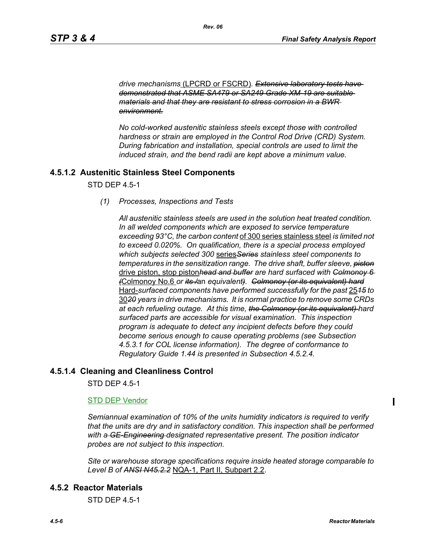*drive mechanisms* (LPCRD or FSCRD)*. Extensive laboratory tests have demonstrated that ASME SA479 or SA249 Grade XM-19 are suitable materials and that they are resistant to stress corrosion in a BWR environment.*

*No cold-worked austenitic stainless steels except those with controlled hardness or strain are employed in the Control Rod Drive (CRD) System. During fabrication and installation, special controls are used to limit the induced strain, and the bend radii are kept above a minimum value.*

## **4.5.1.2 Austenitic Stainless Steel Components**

STD DEP 4.5-1

*(1) Processes, Inspections and Tests*

*All austenitic stainless steels are used in the solution heat treated condition. In all welded components which are exposed to service temperature exceeding 93°C, the carbon content* of 300 series stainless steel *is limited not to exceed 0.020%. On qualification, there is a special process employed which subjects selected 300* series*Series stainless steel components to temperatures in the sensitization range. The drive shaft, buffer sleeve, piston* drive piston, stop piston*head and buffer are hard surfaced with Colmonoy 6 (*Colmonoy No.6 *or its /*an *equivalent). Colmonoy (or its equivalent) hard* Hard-*surfaced components have performed successfully for the past* 25*15 to* 30*20 years in drive mechanisms. It is normal practice to remove some CRDs at each refueling outage. At this time, the Colmonoy (or its equivalent) hard surfaced parts are accessible for visual examination. This inspection program is adequate to detect any incipient defects before they could become serious enough to cause operating problems (see Subsection 4.5.3.1 for COL license information). The degree of conformance to Regulatory Guide 1.44 is presented in Subsection 4.5.2.4.*

#### **4.5.1.4 Cleaning and Cleanliness Control**

STD DEP 4.5-1

#### STD DEP Vendor

*Semiannual examination of 10% of the units humidity indicators is required to verify that the units are dry and in satisfactory condition. This inspection shall be performed with a GE-Engineering designated representative present. The position indicator probes are not subject to this inspection.*

*Site or warehouse storage specifications require inside heated storage comparable to Level B of ANSI N45.2.2* NQA-1, Part II, Subpart 2.2.

#### **4.5.2 Reactor Materials**

STD DEP 4.5-1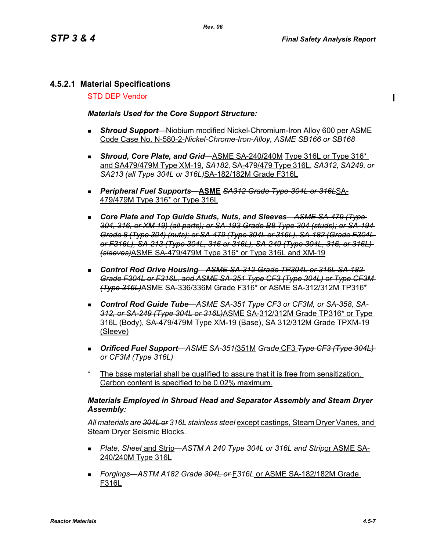# **4.5.2.1 Material Specifications**

STD DEP Vendor

*Materials Used for the Core Support Structure:*

- *Shroud Support*—Niobium modified Nickel-Chromium-Iron Alloy 600 per ASME Code Case No. N-580-2-*Nickel-Chrome-Iron-Alloy, ASME SB166 or SB168*
- **Shroud, Core Plate, and Grid—ASME SA-240/240M Type 316L or Type 316<sup>\*</sup>** and SA479/479M Type XM-19, *SA182,* SA-479/479 Type 316L, *SA312, SA249, or SA213 (all Type 304L or 316L)*SA-182/182M Grade F316L
- *Peripheral Fuel Supports*—**ASME** *SA312 Grade Type-304L or 316L*SA-479/479M Type 316\* or Type 316L
- *Core Plate and Top Guide Studs, Nuts, and Sleeves*—*ASME SA-479 (Type 304, 316, or XM 19) (all parts); or SA-193 Grade B8 Type 304 (studs); or SA-194 Grade 8 (Type 304) (nuts); or SA-479 (Type 304L or 316L), SA-182 (Grade F304L or F316L), SA-213 (Type 304L, 316 or 316L), SA-249 (Type 304L, 316, or 316L) (sleeves)*ASME SA-479/479M Type 316\* or Type 316L and XM-19
- *Control Rod Drive Housing*—*ASME SA-312 Grade TP304L or 316L SA-182 Grade F304L or F316L, and ASME SA-351 Type CF3 (Type 304L) or Type CF3M (Type 316L)*ASME SA-336/336M Grade F316\* or ASME SA-312/312M TP316\*
- *Control Rod Guide Tube*—*ASME SA-351 Type CF3 or CF3M, or SA-358, SA-312, or SA-249 (Type 304L or 316L)*ASME SA-312/312M Grade TP316\* or Type 316L (Body), SA-479/479M Type XM-19 (Base), SA 312/312M Grade TPXM-19 (Sleeve)
- *Orificed Fuel Support*—*ASME SA-351*/351M *Grade* CF3 *Type CF3 (Type 304L) or CF3M (Type 316L)*
- The base material shall be qualified to assure that it is free from sensitization. Carbon content is specified to be 0.02% maximum.

#### *Materials Employed in Shroud Head and Separator Assembly and Steam Dryer Assembly:*

*All materials are 304L or 316L stainless steel* except castings, Steam Dryer Vanes, and Steam Dryer Seismic Blocks.

- *Plate, Sheet* and Strip—*ASTM A 240 Type 304L or 316L and Strip*or ASME SA-240/240M Type 316L
- *Forgings—ASTM A182 Grade 304L or* F*316L* or ASME SA-182/182M Grade F316L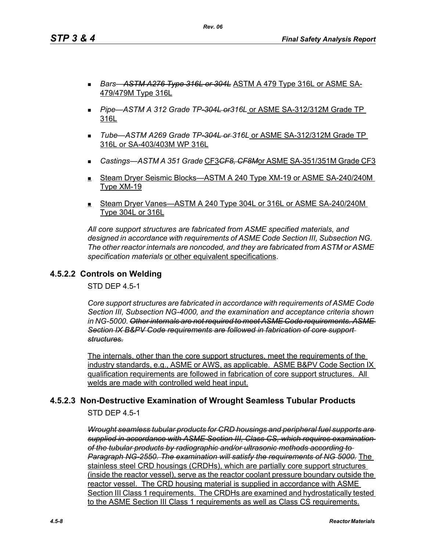*Rev. 06*

- *Bars*—*ASTM A276 Type 316L or 304L* ASTM A 479 Type 316L or ASME SA-479/479M Type 316L
- *Pipe*—*ASTM A 312 Grade TP-304L or316L* or ASME SA-312/312M Grade TP 316L
- *Tube*—*ASTM A269 Grade TP-304L or 316L* or ASME SA-312/312M Grade TP 316L or SA-403/403M WP 316L
- *Castings—ASTM A 351 Grade* CF3*CF8, CF8M*or ASME SA-351/351M Grade CF3
- Steam Dryer Seismic Blocks—ASTM A 240 Type XM-19 or ASME SA-240/240M Type XM-19
- Steam Dryer Vanes—ASTM A 240 Type 304L or 316L or ASME SA-240/240M Type 304L or 316L

*All core support structures are fabricated from ASME specified materials, and designed in accordance with requirements of ASME Code Section III, Subsection NG. The other reactor internals are noncoded, and they are fabricated from ASTM or ASME specification materials* or other equivalent specifications.

# **4.5.2.2 Controls on Welding**

STD DEP 4.5-1

*Core support structures are fabricated in accordance with requirements of ASME Code Section III, Subsection NG-4000, and the examination and acceptance criteria shown in NG-5000. Other internals are not required to meet ASME Code requirements. ASME Section IX B&PV Code requirements are followed in fabrication of core support structures.*

The internals, other than the core support structures, meet the requirements of the industry standards, e.g., ASME or AWS, as applicable. ASME B&PV Code Section IX qualification requirements are followed in fabrication of core support structures. All welds are made with controlled weld heat input.

# **4.5.2.3 Non-Destructive Examination of Wrought Seamless Tubular Products**

STD DEP 4.5-1

*Wrought seamless tubular products for CRD housings and peripheral fuel supports are supplied in accordance with ASME Section III, Class CS, which requires examination of the tubular products by radiographic and/or ultrasonic methods according to Paragraph NG-2550. The examination will satisfy the requirements of NG 5000.* The stainless steel CRD housings (CRDHs), which are partially core support structures (inside the reactor vessel), serve as the reactor coolant pressure boundary outside the reactor vessel. The CRD housing material is supplied in accordance with ASME Section III Class 1 requirements. The CRDHs are examined and hydrostatically tested to the ASME Section III Class 1 requirements as well as Class CS requirements.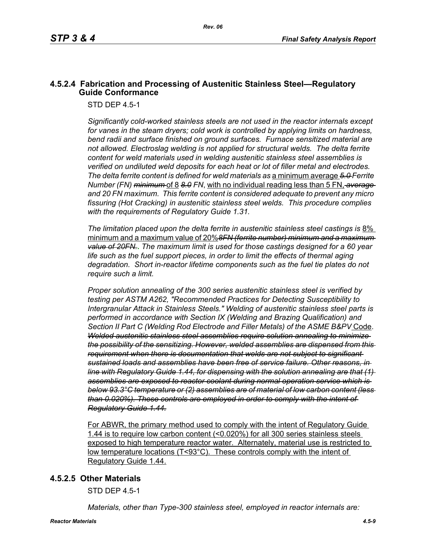## **4.5.2.4 Fabrication and Processing of Austenitic Stainless Steel—Regulatory Guide Conformance**

STD DEP 4.5-1

*Significantly cold-worked stainless steels are not used in the reactor internals except for vanes in the steam dryers; cold work is controlled by applying limits on hardness, bend radii and surface finished on ground surfaces. Furnace sensitized material are not allowed. Electroslag welding is not applied for structural welds. The delta ferrite content for weld materials used in welding austenitic stainless steel assemblies is verified on undiluted weld deposits for each heat or lot of filler metal and electrodes. The delta ferrite content is defined for weld materials as* a minimum average *5.0 Ferrite Number (FN) minimum* of 8 *8.0 FN*, with no individual reading less than 5 FN, *average and 20 FN maximum. This ferrite content is considered adequate to prevent any micro fissuring (Hot Cracking) in austenitic stainless steel welds. This procedure complies with the requirements of Regulatory Guide 1.31.*

*The limitation placed upon the delta ferrite in austenitic stainless steel castings is* 8% minimum and a maximum value of 20%*8FN (ferrite number) minimum and a maximum value of 20FN.***.** *The maximum limit is used for those castings designed for a 60 year life such as the fuel support pieces, in order to limit the effects of thermal aging degradation. Short in-reactor lifetime components such as the fuel tie plates do not require such a limit.*

*Proper solution annealing of the 300 series austenitic stainless steel is verified by testing per ASTM A262, "Recommended Practices for Detecting Susceptibility to Intergranular Attack in Stainless Steels." Welding of austenitic stainless steel parts is performed in accordance with Section IX (Welding and Brazing Qualification) and Section II Part C (Welding Rod Electrode and Filler Metals) of the ASME B&PV* Code. *Welded austenitic stainless steel assemblies require solution annealing to minimize the possibility of the sensitizing. However, welded assemblies are dispensed from this requirement when there is documentation that welds are not subject to significant sustained loads and assemblies have been free of service failure. Other reasons, in line with Regulatory Guide 1.44, for dispensing with the solution annealing are that (1) assemblies are exposed to reactor coolant during normal operation service which is below 93.3°C temperature or (2) assemblies are of material of low carbon content (less than 0.020%). These controls are employed in order to comply with the intent of Regulatory Guide 1.44.*

For ABWR, the primary method used to comply with the intent of Regulatory Guide 1.44 is to require low carbon content (<0.020%) for all 300 series stainless steels exposed to high temperature reactor water. Alternately, material use is restricted to low temperature locations (T<93°C). These controls comply with the intent of Regulatory Guide 1.44.

#### **4.5.2.5 Other Materials**

STD DEP 4.5-1

*Materials, other than Type-300 stainless steel, employed in reactor internals are:*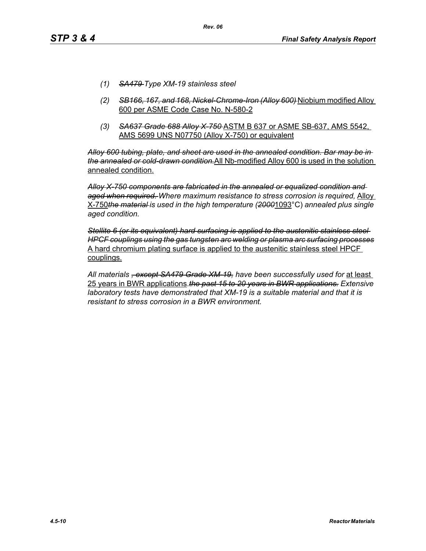- *(1) SA479 Type XM-19 stainless steel*
- *(2) SB166, 167, and 168, Nickel-Chrome-Iron (Alloy 600)* Niobium modified Alloy 600 per ASME Code Case No. N-580-2
- *(3) SA637 Grade 688 Alloy X-750* ASTM B 637 or ASME SB-637, AMS 5542, AMS 5699 UNS N07750 (Alloy X-750) or equivalent

*Alloy 600 tubing, plate, and sheet are used in the annealed condition. Bar may be in the annealed or cold-drawn condition.*All Nb-modified Alloy 600 is used in the solution annealed condition.

*Alloy X-750 components are fabricated in the annealed or equalized condition and aged when required. Where maximum resistance to stress corrosion is required,* Alloy X-750*the material is used in the high temperature (2000*1093°C) *annealed plus single aged condition.*

*Stellite 6 (or its equivalent) hard surfacing is applied to the austenitic stainless steel HPCF couplings using the gas tungsten arc welding or plasma arc surfacing processes* A hard chromium plating surface is applied to the austenitic stainless steel HPCF couplings.

*All materials , except SA479 Grade XM-19, have been successfully used for* at least 25 years in BWR applications.*the past 15 to 20 years in BWR applications. Extensive laboratory tests have demonstrated that XM-19 is a suitable material and that it is resistant to stress corrosion in a BWR environment.*